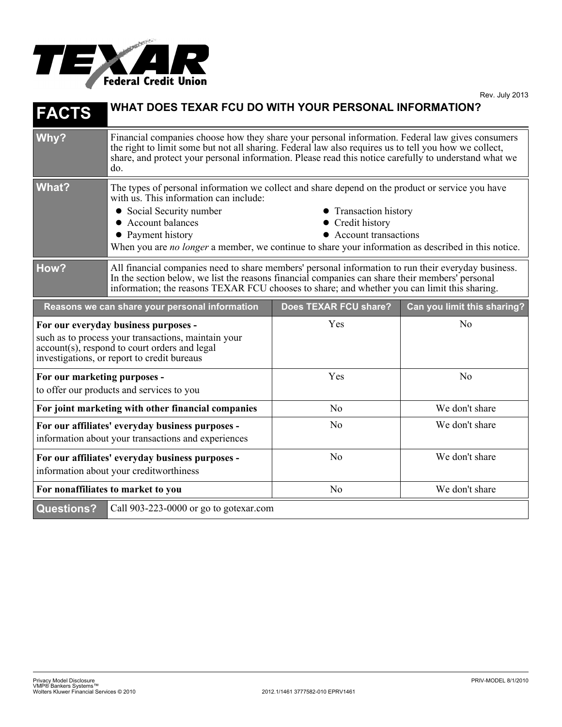

| <b>FACTS</b>                                                                                                                                                                                | WHAT DOES TEXAR FCU DO WITH YOUR PERSONAL INFORMATION?                                                                                                                                                                                                                                                                                                                                               |                       |                             |
|---------------------------------------------------------------------------------------------------------------------------------------------------------------------------------------------|------------------------------------------------------------------------------------------------------------------------------------------------------------------------------------------------------------------------------------------------------------------------------------------------------------------------------------------------------------------------------------------------------|-----------------------|-----------------------------|
| Why?                                                                                                                                                                                        | Financial companies choose how they share your personal information. Federal law gives consumers<br>the right to limit some but not all sharing. Federal law also requires us to tell you how we collect,<br>share, and protect your personal information. Please read this notice carefully to understand what we<br>do.                                                                            |                       |                             |
| <b>What?</b>                                                                                                                                                                                | The types of personal information we collect and share depend on the product or service you have<br>with us. This information can include:<br>• Social Security number<br>• Transaction history<br>• Account balances<br>Credit history<br>• Account transactions<br>• Payment history<br>When you are <i>no longer</i> a member, we continue to share your information as described in this notice. |                       |                             |
| How?                                                                                                                                                                                        | All financial companies need to share members' personal information to run their everyday business.<br>In the section below, we list the reasons financial companies can share their members' personal<br>information; the reasons TEXAR FCU chooses to share; and whether you can limit this sharing.                                                                                               |                       |                             |
|                                                                                                                                                                                             | Reasons we can share your personal information                                                                                                                                                                                                                                                                                                                                                       | Does TEXAR FCU share? | Can you limit this sharing? |
| For our everyday business purposes -<br>such as to process your transactions, maintain your<br>account(s), respond to court orders and legal<br>investigations, or report to credit bureaus |                                                                                                                                                                                                                                                                                                                                                                                                      | Yes                   | N <sub>0</sub>              |
| For our marketing purposes -<br>to offer our products and services to you                                                                                                                   |                                                                                                                                                                                                                                                                                                                                                                                                      | Yes                   | N <sub>o</sub>              |
| For joint marketing with other financial companies                                                                                                                                          |                                                                                                                                                                                                                                                                                                                                                                                                      | N <sub>o</sub>        | We don't share              |
| For our affiliates' everyday business purposes -<br>information about your transactions and experiences                                                                                     |                                                                                                                                                                                                                                                                                                                                                                                                      | N <sub>0</sub>        | We don't share              |
| For our affiliates' everyday business purposes -<br>information about your creditworthiness                                                                                                 |                                                                                                                                                                                                                                                                                                                                                                                                      | No                    | We don't share              |
| For nonaffiliates to market to you                                                                                                                                                          |                                                                                                                                                                                                                                                                                                                                                                                                      | N <sub>o</sub>        | We don't share              |
| <b>Questions?</b>                                                                                                                                                                           | Call 903-223-0000 or go to gotexar.com                                                                                                                                                                                                                                                                                                                                                               |                       |                             |